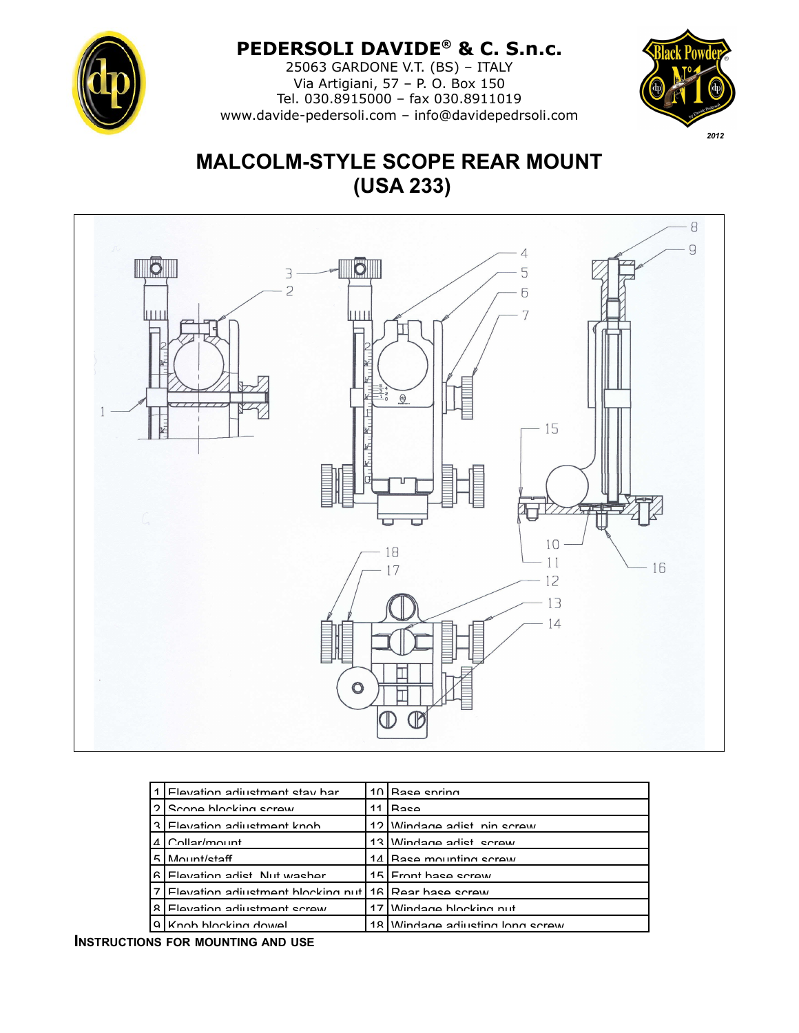

## **PEDERSOLI DAVIDE® & C. S.n.c.**

25063 GARDONE V.T. (BS) – ITALY Via Artigiani, 57 – P. O. Box 150 Tel. 030.8915000 – fax 030.8911019 [www.davide-pedersoli.com](http://www.davide-pedersoli.com/) – info@davidepedrsoli.com



# **MALCOLM-STYLE SCOPE REAR MOUNT (USA 233)**



| 1  | Flevation adjustment stay har       |    | 10 Rase spring                  |
|----|-------------------------------------|----|---------------------------------|
| າ  | Scone blocking scrow                | 11 | Roco                            |
| ર  | l Flevation adjustment knob         |    | 12 Windage adjet nin screw      |
|    | $AlCollar/m="n!$                    |    | 13 Windage adjet ecrew          |
| Б. | Mount/staff                         |    | 14 Race mounting cerew          |
| а  | Elevation adjet Nut washer          |    | 15 Front has ecraw              |
|    | Elevation adjustment blocking nut I |    | 16 Rear hase screw              |
| R  | Flavation adjustment serew          |    | 17 Mindage blocking nut         |
|    | Knob blocking dowel                 |    | 18 Windage adjusting John screw |

**INSTRUCTIONS FOR MOUNTING AND USE**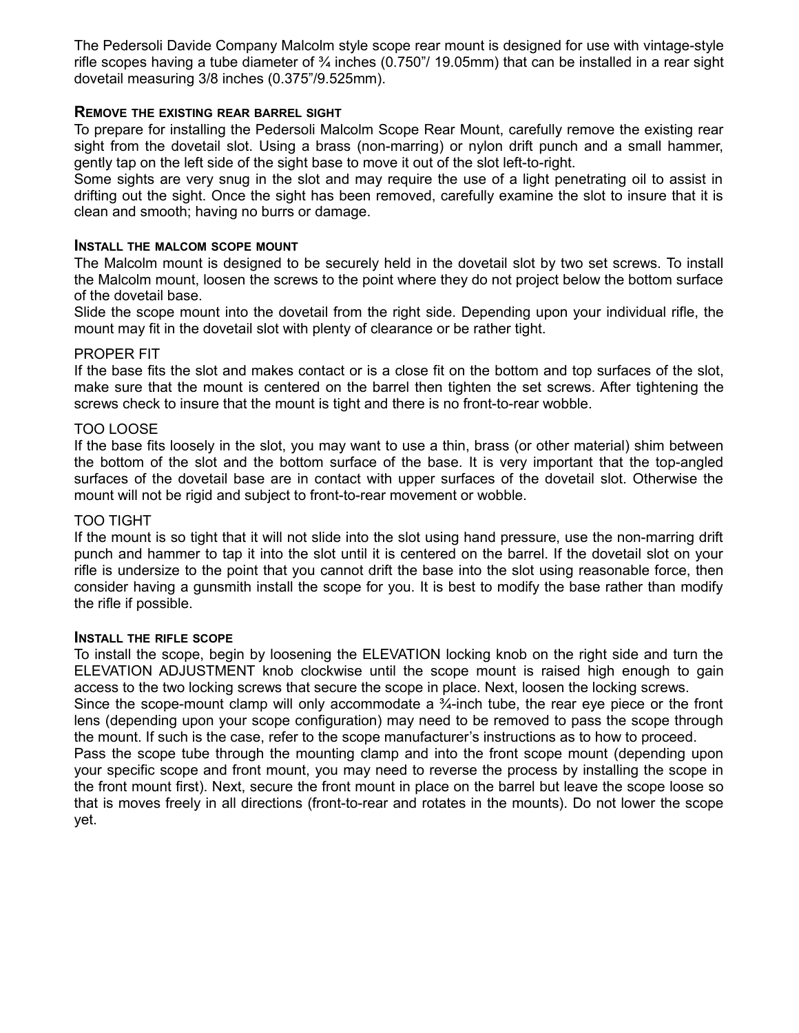The Pedersoli Davide Company Malcolm style scope rear mount is designed for use with vintage-style rifle scopes having a tube diameter of  $\frac{3}{4}$  inches (0.750"/ 19.05mm) that can be installed in a rear sight dovetail measuring 3/8 inches (0.375"/9.525mm).

## **REMOVE THE EXISTING REAR BARREL SIGHT**

To prepare for installing the Pedersoli Malcolm Scope Rear Mount, carefully remove the existing rear sight from the dovetail slot. Using a brass (non-marring) or nylon drift punch and a small hammer, gently tap on the left side of the sight base to move it out of the slot left-to-right.

Some sights are very snug in the slot and may require the use of a light penetrating oil to assist in drifting out the sight. Once the sight has been removed, carefully examine the slot to insure that it is clean and smooth; having no burrs or damage.

#### **INSTALL THE MALCOM SCOPE MOUNT**

The Malcolm mount is designed to be securely held in the dovetail slot by two set screws. To install the Malcolm mount, loosen the screws to the point where they do not project below the bottom surface of the dovetail base.

Slide the scope mount into the dovetail from the right side. Depending upon your individual rifle, the mount may fit in the dovetail slot with plenty of clearance or be rather tight.

#### PROPER FIT

If the base fits the slot and makes contact or is a close fit on the bottom and top surfaces of the slot, make sure that the mount is centered on the barrel then tighten the set screws. After tightening the screws check to insure that the mount is tight and there is no front-to-rear wobble.

#### TOO LOOSE

If the base fits loosely in the slot, you may want to use a thin, brass (or other material) shim between the bottom of the slot and the bottom surface of the base. It is very important that the top-angled surfaces of the dovetail base are in contact with upper surfaces of the dovetail slot. Otherwise the mount will not be rigid and subject to front-to-rear movement or wobble.

#### TOO TIGHT

If the mount is so tight that it will not slide into the slot using hand pressure, use the non-marring drift punch and hammer to tap it into the slot until it is centered on the barrel. If the dovetail slot on your rifle is undersize to the point that you cannot drift the base into the slot using reasonable force, then consider having a gunsmith install the scope for you. It is best to modify the base rather than modify the rifle if possible.

#### **INSTALL THE RIFLE SCOPE**

To install the scope, begin by loosening the ELEVATION locking knob on the right side and turn the ELEVATION ADJUSTMENT knob clockwise until the scope mount is raised high enough to gain access to the two locking screws that secure the scope in place. Next, loosen the locking screws. Since the scope-mount clamp will only accommodate a <sup>3</sup>/<sub>4</sub>-inch tube, the rear eye piece or the front lens (depending upon your scope configuration) may need to be removed to pass the scope through the mount. If such is the case, refer to the scope manufacturer's instructions as to how to proceed. Pass the scope tube through the mounting clamp and into the front scope mount (depending upon your specific scope and front mount, you may need to reverse the process by installing the scope in the front mount first). Next, secure the front mount in place on the barrel but leave the scope loose so that is moves freely in all directions (front-to-rear and rotates in the mounts). Do not lower the scope yet.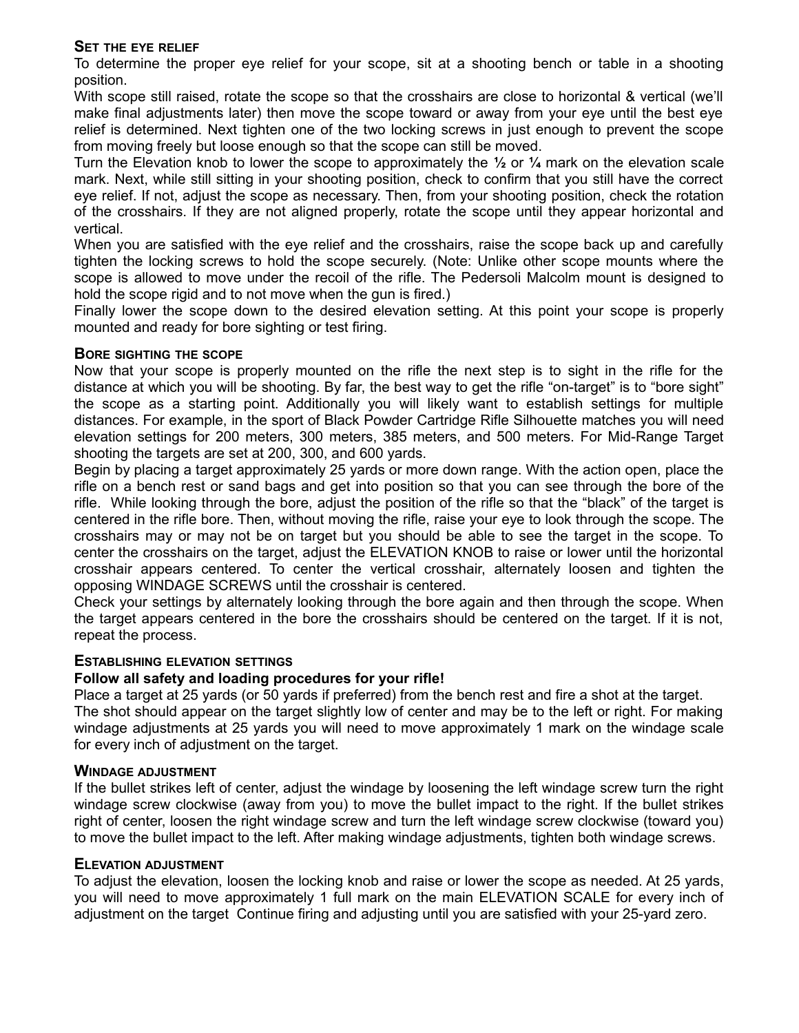## **SET THE EYE RELIEF**

To determine the proper eye relief for your scope, sit at a shooting bench or table in a shooting position.

With scope still raised, rotate the scope so that the crosshairs are close to horizontal & vertical (we'll make final adjustments later) then move the scope toward or away from your eye until the best eye relief is determined. Next tighten one of the two locking screws in just enough to prevent the scope from moving freely but loose enough so that the scope can still be moved.

Turn the Elevation knob to lower the scope to approximately the **½** or **¼** mark on the elevation scale mark. Next, while still sitting in your shooting position, check to confirm that you still have the correct eye relief. If not, adjust the scope as necessary. Then, from your shooting position, check the rotation of the crosshairs. If they are not aligned properly, rotate the scope until they appear horizontal and vertical.

When you are satisfied with the eye relief and the crosshairs, raise the scope back up and carefully tighten the locking screws to hold the scope securely. (Note: Unlike other scope mounts where the scope is allowed to move under the recoil of the rifle. The Pedersoli Malcolm mount is designed to hold the scope rigid and to not move when the gun is fired.)

Finally lower the scope down to the desired elevation setting. At this point your scope is properly mounted and ready for bore sighting or test firing.

## **BORE SIGHTING THE SCOPE**

Now that your scope is properly mounted on the rifle the next step is to sight in the rifle for the distance at which you will be shooting. By far, the best way to get the rifle "on-target" is to "bore sight" the scope as a starting point. Additionally you will likely want to establish settings for multiple distances. For example, in the sport of Black Powder Cartridge Rifle Silhouette matches you will need elevation settings for 200 meters, 300 meters, 385 meters, and 500 meters. For Mid-Range Target shooting the targets are set at 200, 300, and 600 yards.

Begin by placing a target approximately 25 yards or more down range. With the action open, place the rifle on a bench rest or sand bags and get into position so that you can see through the bore of the rifle. While looking through the bore, adjust the position of the rifle so that the "black" of the target is centered in the rifle bore. Then, without moving the rifle, raise your eye to look through the scope. The crosshairs may or may not be on target but you should be able to see the target in the scope. To center the crosshairs on the target, adjust the ELEVATION KNOB to raise or lower until the horizontal crosshair appears centered. To center the vertical crosshair, alternately loosen and tighten the opposing WINDAGE SCREWS until the crosshair is centered.

Check your settings by alternately looking through the bore again and then through the scope. When the target appears centered in the bore the crosshairs should be centered on the target. If it is not, repeat the process.

## **ESTABLISHING ELEVATION SETTINGS**

## **Follow all safety and loading procedures for your rifle!**

Place a target at 25 yards (or 50 yards if preferred) from the bench rest and fire a shot at the target. The shot should appear on the target slightly low of center and may be to the left or right. For making windage adjustments at 25 yards you will need to move approximately 1 mark on the windage scale for every inch of adjustment on the target.

## **WINDAGE ADJUSTMENT**

If the bullet strikes left of center, adjust the windage by loosening the left windage screw turn the right windage screw clockwise (away from you) to move the bullet impact to the right. If the bullet strikes right of center, loosen the right windage screw and turn the left windage screw clockwise (toward you) to move the bullet impact to the left. After making windage adjustments, tighten both windage screws.

## **ELEVATION ADJUSTMENT**

To adjust the elevation, loosen the locking knob and raise or lower the scope as needed. At 25 yards, you will need to move approximately 1 full mark on the main ELEVATION SCALE for every inch of adjustment on the target Continue firing and adjusting until you are satisfied with your 25-yard zero.